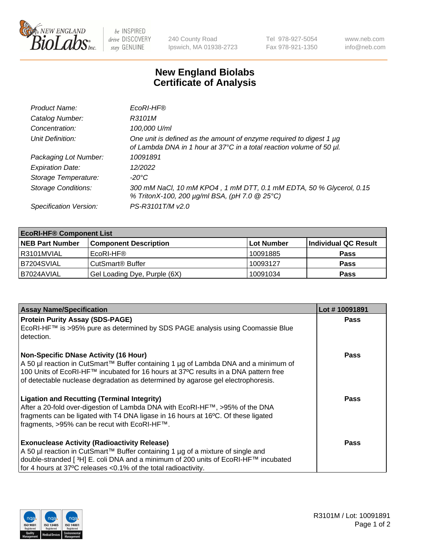

 $be$  INSPIRED drive DISCOVERY stay GENUINE

240 County Road Ipswich, MA 01938-2723 Tel 978-927-5054 Fax 978-921-1350 www.neb.com info@neb.com

## **New England Biolabs Certificate of Analysis**

| Product Name:              | EcoRI-HF®                                                                                                                                   |
|----------------------------|---------------------------------------------------------------------------------------------------------------------------------------------|
| Catalog Number:            | R3101M                                                                                                                                      |
| Concentration:             | 100,000 U/ml                                                                                                                                |
| Unit Definition:           | One unit is defined as the amount of enzyme required to digest 1 µg<br>of Lambda DNA in 1 hour at 37°C in a total reaction volume of 50 µl. |
| Packaging Lot Number:      | 10091891                                                                                                                                    |
| <b>Expiration Date:</b>    | 12/2022                                                                                                                                     |
| Storage Temperature:       | -20°C                                                                                                                                       |
| <b>Storage Conditions:</b> | 300 mM NaCl, 10 mM KPO4, 1 mM DTT, 0.1 mM EDTA, 50 % Glycerol, 0.15<br>% TritonX-100, 200 µg/ml BSA, (pH 7.0 @ 25°C)                        |
| Specification Version:     | PS-R3101T/M v2.0                                                                                                                            |

| <b>EcoRI-HF® Component List</b> |                                    |            |                      |  |  |
|---------------------------------|------------------------------------|------------|----------------------|--|--|
| <b>NEB Part Number</b>          | <b>Component Description</b>       | Lot Number | Individual QC Result |  |  |
| R3101MVIAL                      | EcoRI-HF®                          | 10091885   | <b>Pass</b>          |  |  |
| B7204SVIAL                      | <b>CutSmart<sup>®</sup> Buffer</b> | 10093127   | <b>Pass</b>          |  |  |
| B7024AVIAL                      | Gel Loading Dye, Purple (6X)       | 10091034   | <b>Pass</b>          |  |  |

| <b>Assay Name/Specification</b>                                                                                                                                                                                                                                | Lot #10091891 |
|----------------------------------------------------------------------------------------------------------------------------------------------------------------------------------------------------------------------------------------------------------------|---------------|
| <b>Protein Purity Assay (SDS-PAGE)</b>                                                                                                                                                                                                                         | <b>Pass</b>   |
| EcoRI-HF™ is >95% pure as determined by SDS PAGE analysis using Coomassie Blue<br>detection.                                                                                                                                                                   |               |
| <b>Non-Specific DNase Activity (16 Hour)</b>                                                                                                                                                                                                                   | Pass          |
| A 50 µl reaction in CutSmart™ Buffer containing 1 µg of Lambda DNA and a minimum of<br>100 Units of EcoRI-HF™ incubated for 16 hours at 37°C results in a DNA pattern free<br>of detectable nuclease degradation as determined by agarose gel electrophoresis. |               |
| <b>Ligation and Recutting (Terminal Integrity)</b>                                                                                                                                                                                                             | Pass          |
| After a 20-fold over-digestion of Lambda DNA with EcoRI-HF™, >95% of the DNA                                                                                                                                                                                   |               |
| fragments can be ligated with T4 DNA ligase in 16 hours at 16°C. Of these ligated<br>fragments, >95% can be recut with EcoRI-HF™.                                                                                                                              |               |
|                                                                                                                                                                                                                                                                |               |
| <b>Exonuclease Activity (Radioactivity Release)</b>                                                                                                                                                                                                            | Pass          |
| A 50 µl reaction in CutSmart™ Buffer containing 1 µg of a mixture of single and                                                                                                                                                                                |               |
| double-stranded [ <sup>3</sup> H] E. coli DNA and a minimum of 200 units of EcoRI-HF™ incubated                                                                                                                                                                |               |
| for 4 hours at 37°C releases <0.1% of the total radioactivity.                                                                                                                                                                                                 |               |